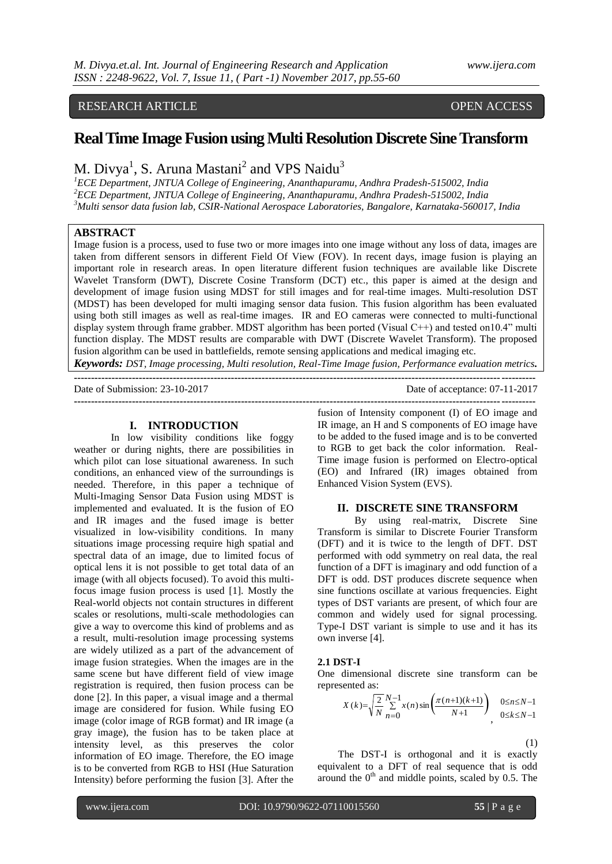# RESEARCH ARTICLE OPEN ACCESS

# **Real Time Image Fusion using Multi Resolution Discrete Sine Transform**

M. Divya<sup>1</sup>, S. Aruna Mastani<sup>2</sup> and VPS Naidu<sup>3</sup>

*<sup>1</sup>ECE Department, JNTUA College of Engineering, Ananthapuramu, Andhra Pradesh-515002, India <sup>2</sup>ECE Department, JNTUA College of Engineering, Ananthapuramu, Andhra Pradesh-515002, India <sup>3</sup>Multi sensor data fusion lab, CSIR-National Aerospace Laboratories, Bangalore, Karnataka-560017, India*

## **ABSTRACT**

Image fusion is a process, used to fuse two or more images into one image without any loss of data, images are taken from different sensors in different Field Of View (FOV). In recent days, image fusion is playing an important role in research areas. In open literature different fusion techniques are available like Discrete Wavelet Transform (DWT), Discrete Cosine Transform (DCT) etc., this paper is aimed at the design and development of image fusion using MDST for still images and for real-time images. Multi-resolution DST (MDST) has been developed for multi imaging sensor data fusion. This fusion algorithm has been evaluated using both still images as well as real-time images. IR and EO cameras were connected to multi-functional display system through frame grabber. MDST algorithm has been ported (Visual C++) and tested on10.4" multi function display. The MDST results are comparable with DWT (Discrete Wavelet Transform). The proposed fusion algorithm can be used in battlefields, remote sensing applications and medical imaging etc.

*Keywords: DST, Image processing, Multi resolution, Real-Time Image fusion, Performance evaluation metrics.* **---------------------------------------------------------------------------------------------------------------------------------------**

**---------------------------------------------------------------------------------------------------------------------------------------**

Date of Submission: 23-10-2017 Date of acceptance: 07-11-2017

### **I. INTRODUCTION**

In low visibility conditions like foggy weather or during nights, there are possibilities in which pilot can lose situational awareness. In such conditions, an enhanced view of the surroundings is needed. Therefore, in this paper a technique of Multi-Imaging Sensor Data Fusion using MDST is implemented and evaluated. It is the fusion of EO and IR images and the fused image is better visualized in low-visibility conditions. In many situations image processing require high spatial and spectral data of an image, due to limited focus of optical lens it is not possible to get total data of an image (with all objects focused). To avoid this multifocus image fusion process is used [1]. Mostly the Real-world objects not contain structures in different scales or resolutions, multi-scale methodologies can give a way to overcome this kind of problems and as a result, multi-resolution image processing systems are widely utilized as a part of the advancement of image fusion strategies. When the images are in the same scene but have different field of view image registration is required, then fusion process can be done [2]. In this paper, a visual image and a thermal image are considered for fusion. While fusing EO image (color image of RGB format) and IR image (a gray image), the fusion has to be taken place at intensity level, as this preserves the color information of EO image. Therefore, the EO image is to be converted from RGB to HSI (Hue Saturation Intensity) before performing the fusion [3]. After the

fusion of Intensity component (I) of EO image and IR image, an H and S components of EO image have to be added to the fused image and is to be converted to RGB to get back the color information. Real-Time image fusion is performed on Electro-optical (EO) and Infrared (IR) images obtained from Enhanced Vision System (EVS).

#### **II. DISCRETE SINE TRANSFORM**

By using real-matrix, Discrete Sine Transform is similar to Discrete Fourier Transform (DFT) and it is twice to the length of DFT. DST performed with odd symmetry on real data, the real function of a DFT is imaginary and odd function of a DFT is odd. DST produces discrete sequence when sine functions oscillate at various frequencies. Eight types of DST variants are present, of which four are common and widely used for signal processing. Type-I DST variant is simple to use and it has its own inverse [4].

#### **2.1 DST-I**

One dimensional discrete sine transform can be represented as:

$$
X(k) = \sqrt{\frac{2}{N} \sum_{n=0}^{N-1} x(n) \sin\left(\frac{\pi(n+1)(k+1)}{N+1}\right)}, \quad 0 \le n \le N-1
$$

 $(1)$ 

The DST-I is orthogonal and it is exactly equivalent to a DFT of real sequence that is odd around the  $0<sup>th</sup>$  and middle points, scaled by 0.5. The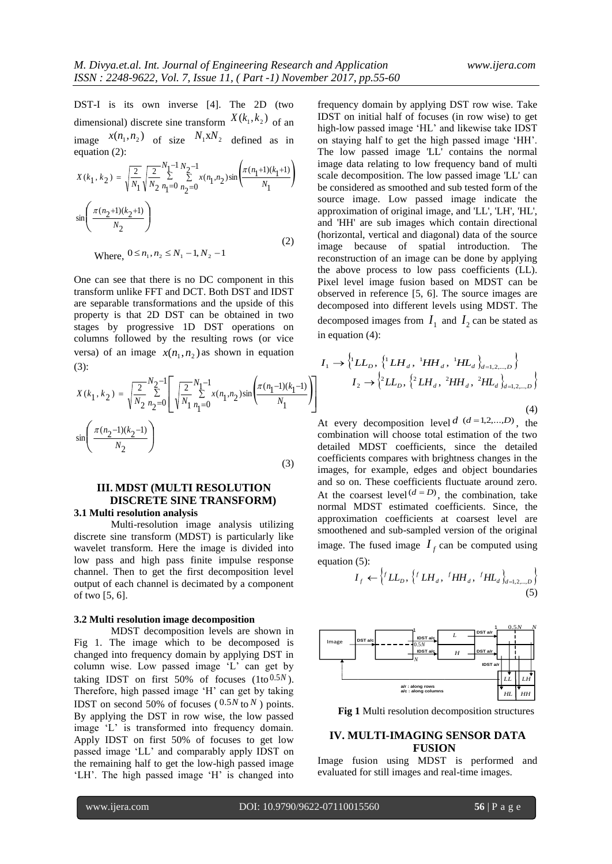DST-I is its own inverse [4]. The 2D (two dimensional) discrete sine transform  $X(k_1, k_2)$  of an image  $x(n_1, n_2)$  of size  $N_1 x N_2$  defined as in equation (2):

$$
X(k_1, k_2) = \sqrt{\frac{2}{N_1}} \sqrt{\frac{2}{N_2}} \sum_{n_1=0}^{N_1-1} \sum_{n_2=0}^{N_2-1} x(n_1, n_2) \sin \left( \frac{\pi (n_1+1)(k_1+1)}{N_1} \right)
$$

$$
\sin \left( \frac{\pi (n_2+1)(k_2+1)}{N_2} \right)
$$
(2)

Where,  $0 \le n_1, n_2 \le N_1 - 1, N_2 - 1$ 

One can see that there is no DC component in this transform unlike FFT and DCT. Both DST and IDST are separable transformations and the upside of this property is that 2D DST can be obtained in two stages by progressive 1D DST operations on columns followed by the resulting rows (or vice versa) of an image  $x(n_1, n_2)$  as shown in equation (3):

$$
X(k_1, k_2) = \sqrt{\frac{2}{N_2}} \sum_{n_2=0}^{N_2-1} \left[ \sqrt{\frac{2}{N_1}} \sum_{n_1=0}^{N_1-1} x(n_1, n_2) \sin \left( \frac{\pi (n_1-1)(k_1-1)}{N_1} \right) \right]
$$
  

$$
\sin \left( \frac{\pi (n_2-1)(k_2-1)}{N_2} \right)
$$

(3)

# **III. MDST (MULTI RESOLUTION DISCRETE SINE TRANSFORM) 3.1 Multi resolution analysis**

Multi-resolution image analysis utilizing discrete sine transform (MDST) is particularly like wavelet transform. Here the image is divided into low pass and high pass finite impulse response channel. Then to get the first decomposition level output of each channel is decimated by a component of two [5, 6].

#### **3.2 Multi resolution image decomposition**

MDST decomposition levels are shown in Fig 1. The image which to be decomposed is changed into frequency domain by applying DST in column wise. Low passed image "L" can get by taking IDST on first  $50\%$  of focuses  $(1 to 0.5N)$ . Therefore, high passed image 'H' can get by taking **IDST** on second 50% of focuses  $(0.5N \text{ to } N)$  points. By applying the DST in row wise, the low passed image 'L' is transformed into frequency domain. Apply IDST on first 50% of focuses to get low passed image "LL" and comparably apply IDST on the remaining half to get the low-high passed image 'LH'. The high passed image 'H' is changed into

frequency domain by applying DST row wise. Take IDST on initial half of focuses (in row wise) to get high-low passed image 'HL' and likewise take IDST on staying half to get the high passed image "HH". The low passed image 'LL' contains the normal image data relating to low frequency band of multi scale decomposition. The low passed image 'LL' can be considered as smoothed and sub tested form of the source image. Low passed image indicate the approximation of original image, and 'LL', 'LH', 'HL', and 'HH' are sub images which contain directional (horizontal, vertical and diagonal) data of the source image because of spatial introduction. The reconstruction of an image can be done by applying the above process to low pass coefficients (LL). Pixel level image fusion based on MDST can be observed in reference [5, 6]. The source images are decomposed into different levels using MDST. The decomposed images from  $I_1$  and  $I_2$  can be stated as in equation (4):

$$
I_{1} \rightarrow \left\{^{1}LL_{D}, \left\{^{1}LH_{d}, \left\{^{1}HH_{d}, \left\{^{1}HL_{d}\right\}_{d=1,2,\ldots,D}\right\}}\right\}
$$

$$
I_{2} \rightarrow \left\{^{2}LL_{D}, \left\{^{2}LH_{d}, \left\{^{2}HH_{d}, \left\{^{2}HL_{d}\right\}_{d=1,2,\ldots,D}\right\}}\right\}
$$
(4)

At every decomposition level  $d$   $(d=1,2,...,D)$ , the combination will choose total estimation of the two detailed MDST coefficients, since the detailed coefficients compares with brightness changes in the images, for example, edges and object boundaries and so on. These coefficients fluctuate around zero. At the coarsest level  $(d = D)$ , the combination, take normal MDST estimated coefficients. Since, the approximation coefficients at coarsest level are smoothened and sub-sampled version of the original image. The fused image  $I_f$  can be computed using equation (5):

$$
I_f \leftarrow \left\{ ^fLL_p, \left\{ ^fLH_d, ^fHH_d, ^fHL_d \right\}_{d=1,2,\dots,D} \right\}
$$
\n(5)



**Fig 1** Multi resolution decomposition structures

# **IV. MULTI-IMAGING SENSOR DATA FUSION**

Image fusion using MDST is performed and evaluated for still images and real-time images.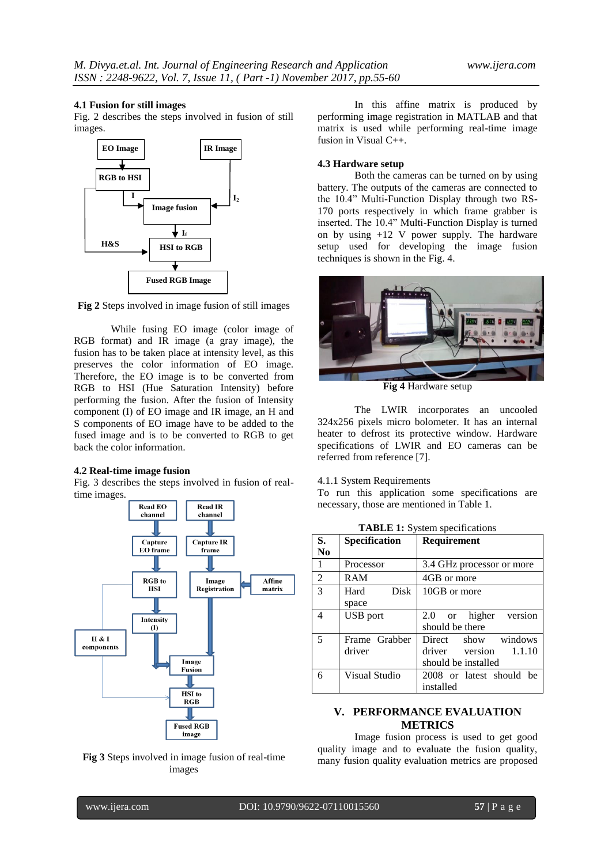#### **4.1 Fusion for still images**

Fig. 2 describes the steps involved in fusion of still images.



**Fig 2** Steps involved in image fusion of still images

While fusing EO image (color image of RGB format) and IR image (a gray image), the fusion has to be taken place at intensity level, as this preserves the color information of EO image. Therefore, the EO image is to be converted from RGB to HSI (Hue Saturation Intensity) before performing the fusion. After the fusion of Intensity component (I) of EO image and IR image, an H and S components of EO image have to be added to the fused image and is to be converted to RGB to get back the color information.

#### **4.2 Real-time image fusion**

Fig. 3 describes the steps involved in fusion of realtime images.





In this affine matrix is produced by performing image registration in MATLAB and that matrix is used while performing real-time image fusion in Visual C++.

### **4.3 Hardware setup**

Both the cameras can be turned on by using battery. The outputs of the cameras are connected to the 10.4" Multi-Function Display through two RS-170 ports respectively in which frame grabber is inserted. The 10.4" Multi-Function Display is turned on by using +12 V power supply. The hardware setup used for developing the image fusion techniques is shown in the Fig. 4.



**Fig 4** Hardware setup

The LWIR incorporates an uncooled 324x256 pixels micro bolometer. It has an internal heater to defrost its protective window. Hardware specifications of LWIR and EO cameras can be referred from reference [7].

#### 4.1.1 System Requirements

To run this application some specifications are necessary, those are mentioned in Table 1.

| S.            | Specification       | Requirement                 |  |  |
|---------------|---------------------|-----------------------------|--|--|
| No.           |                     |                             |  |  |
| 1             | Processor           | 3.4 GHz processor or more   |  |  |
| 2             | RAM                 | 4GB or more                 |  |  |
| $\mathcal{R}$ | <b>Disk</b><br>Hard | 10GB or more                |  |  |
|               | space               |                             |  |  |
| 4             | <b>USB</b> port     | 2.0 or higher version       |  |  |
|               |                     | should be there             |  |  |
| 5             | Frame Grabber       | Direct show windows         |  |  |
|               | driver              | $\pi$ driver version 1.1.10 |  |  |
|               |                     | should be installed         |  |  |
| 6             | Visual Studio       | 2008 or latest should be    |  |  |
|               |                     | installed                   |  |  |

**TABLE 1:** System specifications

# **V. PERFORMANCE EVALUATION METRICS**

Image fusion process is used to get good quality image and to evaluate the fusion quality, many fusion quality evaluation metrics are proposed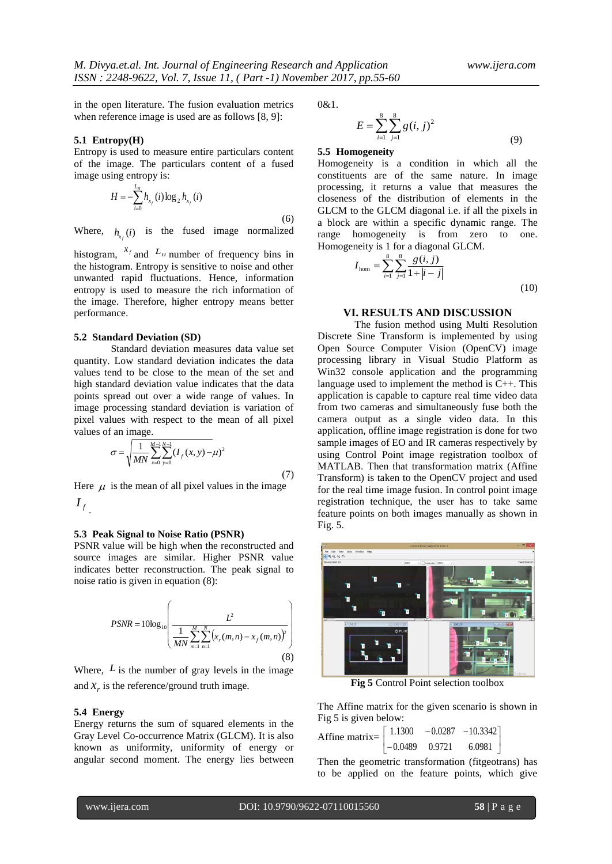in the open literature. The fusion evaluation metrics when reference image is used are as follows [8, 9]:

#### **5.1 Entropy(H)**

Entropy is used to measure entire particulars content of the image. The particulars content of a fused image using entropy is:

$$
H = -\sum_{i=0}^{L_H} h_{x_i}(i) \log_2 h_{x_i}(i)
$$
\n(6)

Where,  $h_{x_f}(i)$  is the fused image normalized

histogram,  $^{x_f}$  and  $^{L_H}$  number of frequency bins in the histogram. Entropy is sensitive to noise and other unwanted rapid fluctuations. Hence, information entropy is used to measure the rich information of the image. Therefore, higher entropy means better performance.

#### **5.2 Standard Deviation (SD)**

Standard deviation measures data value set quantity. Low standard deviation indicates the data values tend to be close to the mean of the set and high standard deviation value indicates that the data points spread out over a wide range of values. In image processing standard deviation is variation of pixel values with respect to the mean of all pixel values of an image.

$$
\sigma = \sqrt{\frac{1}{MN} \sum_{x=0}^{M-1} \sum_{y=0}^{N-1} (I_f(x, y) - \mu)^2}
$$
\n(7)

Here  $\mu$  is the mean of all pixel values in the image *f I* .

### **5.3 Peak Signal to Noise Ratio (PSNR)**

PSNR value will be high when the reconstructed and source images are similar. Higher PSNR value indicates better reconstruction. The peak signal to noise ratio is given in equation (8):

$$
PSNR = 10\log_{10}\left(\frac{L^2}{\frac{1}{MN}\sum_{m=1}^{M}\sum_{n=1}^{N}\left(x_r(m,n) - x_f(m,n)\right)^2}\right)
$$
\n(8)

Where,  $L$  is the number of gray levels in the image and  $x_r$  is the reference/ground truth image.

#### **5.4 Energy**

Energy returns the sum of squared elements in the Gray Level Co-occurrence Matrix (GLCM). It is also known as uniformity, uniformity of energy or angular second moment. The energy lies between 0&1.

$$
E = \sum_{i=1}^{8} \sum_{j=1}^{8} g(i, j)^2
$$
\n(9)

#### **5.5 Homogeneity**

Homogeneity is a condition in which all the constituents are of the same nature. In image processing, it returns a value that measures the closeness of the distribution of elements in the GLCM to the GLCM diagonal i.e. if all the pixels in a block are within a specific dynamic range. The range homogeneity is from zero to one. Homogeneity is 1 for a diagonal GLCM.

$$
I_{\text{hom}} = \sum_{i=1}^{8} \sum_{j=1}^{8} \frac{g(i,j)}{1+|i-j|}
$$
(10)

# **VI. RESULTS AND DISCUSSION**

The fusion method using Multi Resolution Discrete Sine Transform is implemented by using Open Source Computer Vision (OpenCV) image processing library in Visual Studio Platform as Win32 console application and the programming language used to implement the method is C++. This application is capable to capture real time video data from two cameras and simultaneously fuse both the camera output as a single video data. In this application, offline image registration is done for two sample images of EO and IR cameras respectively by using Control Point image registration toolbox of MATLAB. Then that transformation matrix (Affine Transform) is taken to the OpenCV project and used for the real time image fusion. In control point image registration technique, the user has to take same feature points on both images manually as shown in Fig. 5.



**Fig 5** Control Point selection toolbox

The Affine matrix for the given scenario is shown in Fig 5 is given below:

Affine matrix=  $\overline{\phantom{a}}$ J  $| 1.1300 -0.0287 -10.3342 |$  $\begin{bmatrix} -0.0489 & 0.9721 & 6.0981 \end{bmatrix}$ 

Then the geometric transformation (fitgeotrans) has to be applied on the feature points, which give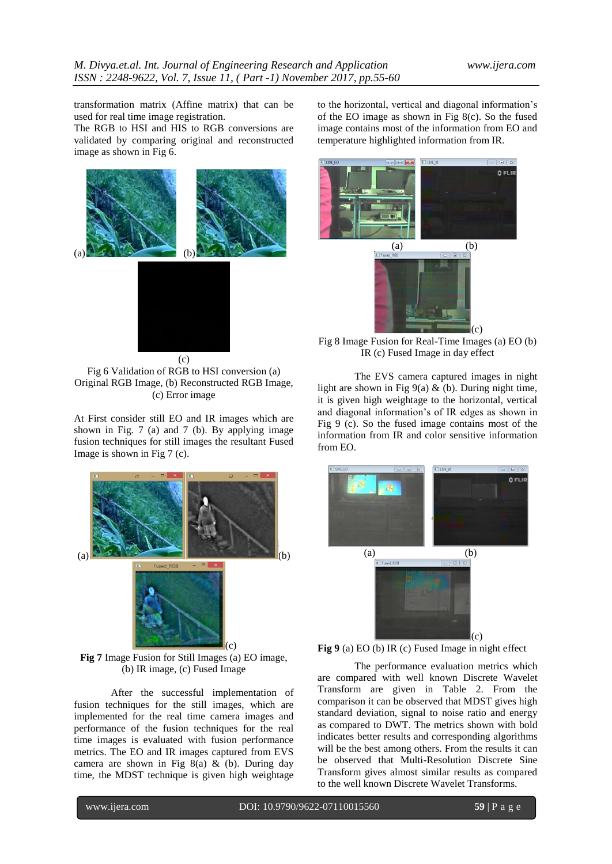transformation matrix (Affine matrix) that can be used for real time image registration.

The RGB to HSI and HIS to RGB conversions are validated by comparing original and reconstructed image as shown in Fig 6.



Fig 6 Validation of RGB to HSI conversion (a) Original RGB Image, (b) Reconstructed RGB Image, (c) Error image

At First consider still EO and IR images which are shown in Fig. 7 (a) and 7 (b). By applying image fusion techniques for still images the resultant Fused Image is shown in Fig 7 (c).



**Fig 7** Image Fusion for Still Images (a) EO image, (b) IR image, (c) Fused Image

After the successful implementation of fusion techniques for the still images, which are implemented for the real time camera images and performance of the fusion techniques for the real time images is evaluated with fusion performance metrics. The EO and IR images captured from EVS camera are shown in Fig 8(a) & (b). During day time, the MDST technique is given high weightage to the horizontal, vertical and diagonal information"s of the EO image as shown in Fig  $8(c)$ . So the fused image contains most of the information from EO and temperature highlighted information from IR.



Fig 8 Image Fusion for Real-Time Images (a) EO (b) IR (c) Fused Image in day effect

The EVS camera captured images in night light are shown in Fig  $9(a)$  & (b). During night time, it is given high weightage to the horizontal, vertical and diagonal information"s of IR edges as shown in Fig 9 (c). So the fused image contains most of the information from IR and color sensitive information from EO.



**Fig 9** (a) EO (b) IR (c) Fused Image in night effect

The performance evaluation metrics which are compared with well known Discrete Wavelet Transform are given in Table 2. From the comparison it can be observed that MDST gives high standard deviation, signal to noise ratio and energy as compared to DWT. The metrics shown with bold indicates better results and corresponding algorithms will be the best among others. From the results it can be observed that Multi-Resolution Discrete Sine Transform gives almost similar results as compared to the well known Discrete Wavelet Transforms.